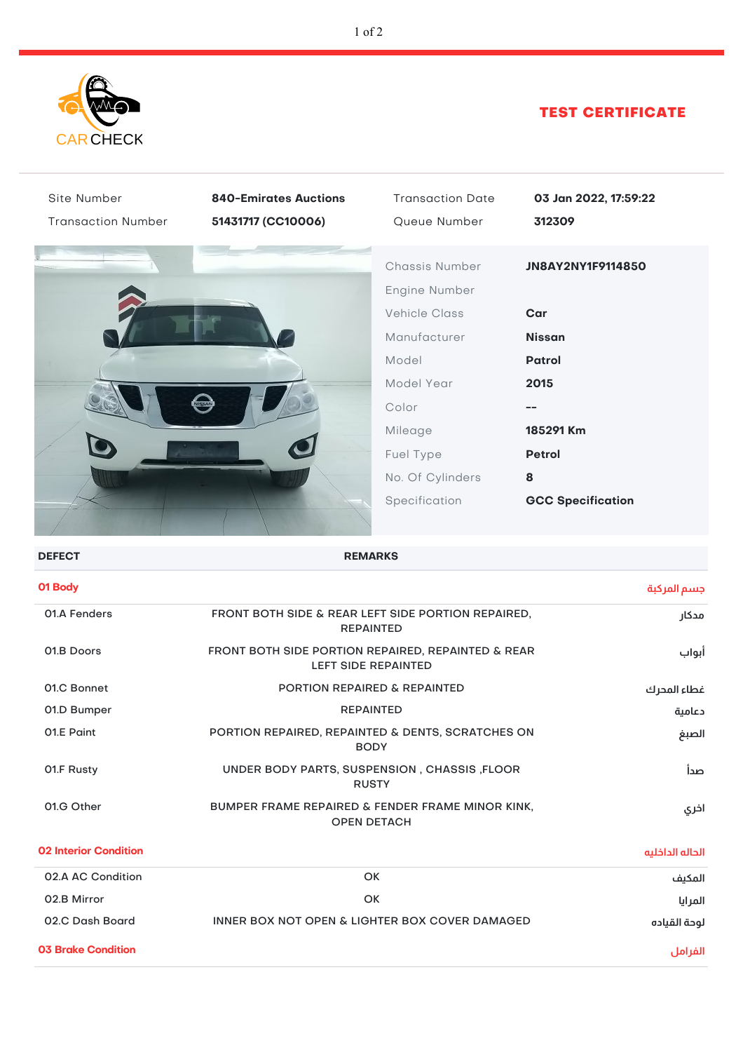

## TEST CERTIFICATE

| Site Number                  | <b>840-Emirates Auctions</b>                                                     | <b>Transaction Date</b> | 03 Jan 2022, 17:59:22    |  |  |
|------------------------------|----------------------------------------------------------------------------------|-------------------------|--------------------------|--|--|
| <b>Transaction Number</b>    | 51431717 (CC10006)                                                               | Queue Number            | 312309                   |  |  |
|                              |                                                                                  | Chassis Number          | JN8AY2NY1F9114850        |  |  |
|                              |                                                                                  | Engine Number           |                          |  |  |
|                              |                                                                                  | <b>Vehicle Class</b>    | Car                      |  |  |
|                              |                                                                                  | Manufacturer            | <b>Nissan</b>            |  |  |
|                              |                                                                                  | Model                   | <b>Patrol</b>            |  |  |
|                              |                                                                                  | Model Year              | 2015                     |  |  |
|                              |                                                                                  | Color                   | --                       |  |  |
|                              |                                                                                  | Mileage                 | 185291 Km                |  |  |
|                              |                                                                                  | Fuel Type               | <b>Petrol</b>            |  |  |
|                              |                                                                                  | No. Of Cylinders        | 8                        |  |  |
|                              |                                                                                  | Specification           | <b>GCC Specification</b> |  |  |
|                              |                                                                                  |                         |                          |  |  |
| <b>DEFECT</b>                | <b>REMARKS</b>                                                                   |                         |                          |  |  |
| 01 Body                      |                                                                                  |                         | جسم المركبة              |  |  |
| 01.A Fenders                 | FRONT BOTH SIDE & REAR LEFT SIDE PORTION REPAIRED,<br>مدكار<br><b>REPAINTED</b>  |                         |                          |  |  |
| 01.B Doors                   | FRONT BOTH SIDE PORTION REPAIRED, REPAINTED & REAR<br><b>LEFT SIDE REPAINTED</b> |                         |                          |  |  |
| 01.C Bonnet                  | PORTION REPAIRED & REPAINTED                                                     |                         | غطاء المحرك              |  |  |
| 01.D Bumper                  | <b>REPAINTED</b>                                                                 |                         | دعامية                   |  |  |
| 01.E Paint                   | PORTION REPAIRED, REPAINTED & DENTS, SCRATCHES ON<br><b>BODY</b>                 |                         |                          |  |  |
| 01.F Rusty                   | UNDER BODY PARTS, SUSPENSION, CHASSIS, FLOOR<br><b>RUSTY</b>                     |                         |                          |  |  |
| 01.G Other                   | BUMPER FRAME REPAIRED & FENDER FRAME MINOR KINK,<br><b>OPEN DETACH</b>           |                         | اخري                     |  |  |
| <b>02 Interior Condition</b> |                                                                                  |                         | الحاله الداخليه          |  |  |
| 02.A AC Condition            |                                                                                  | OK                      | المكيف                   |  |  |
| 02.B Mirror                  | OK<br>المرايا                                                                    |                         |                          |  |  |
| 02.C Dash Board              | <b>INNER BOX NOT OPEN &amp; LIGHTER BOX COVER DAMAGED</b>                        |                         | لوحة القياده             |  |  |
| <b>03 Brake Condition</b>    |                                                                                  |                         | الفرامل                  |  |  |